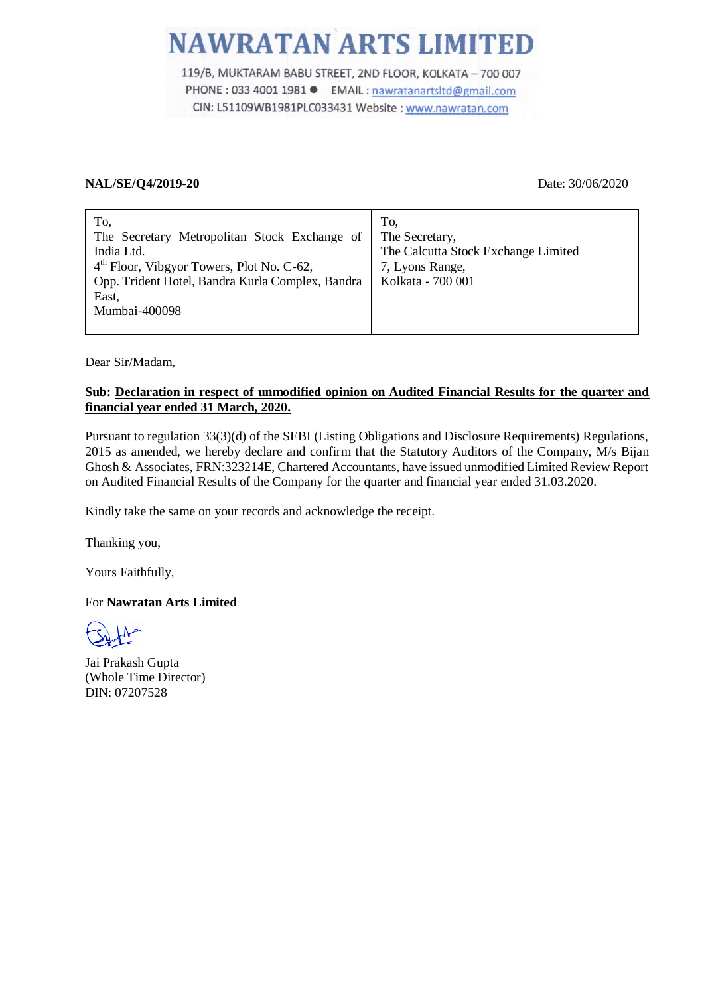119/B, MUKTARAM BABU STREET, 2ND FLOOR, KOLKATA - 700 007 PHONE : 033 4001 1981 ● EMAIL : nawratanartsltd@gmail.com CIN: L51109WB1981PLC033431 Website: www.nawratan.com

### **NAL/SE/Q4/2019-20** Date: 30/06/2020

| To,<br>The Secretary Metropolitan Stock Exchange of<br>India Ltd.<br>$4th$ Floor, Vibgyor Towers, Plot No. C-62,<br>Opp. Trident Hotel, Bandra Kurla Complex, Bandra<br>East, | To.<br>The Secretary,<br>The Calcutta Stock Exchange Limited<br>7, Lyons Range,<br>Kolkata - 700 001 |
|-------------------------------------------------------------------------------------------------------------------------------------------------------------------------------|------------------------------------------------------------------------------------------------------|
| Mumbai-400098                                                                                                                                                                 |                                                                                                      |
|                                                                                                                                                                               |                                                                                                      |

Dear Sir/Madam,

### **Sub: Declaration in respect of unmodified opinion on Audited Financial Results for the quarter and financial year ended 31 March, 2020.**

Pursuant to regulation 33(3)(d) of the SEBI (Listing Obligations and Disclosure Requirements) Regulations, 2015 as amended, we hereby declare and confirm that the Statutory Auditors of the Company, M/s Bijan Ghosh & Associates, FRN:323214E, Chartered Accountants, have issued unmodified Limited Review Report on Audited Financial Results of the Company for the quarter and financial year ended 31.03.2020.

Kindly take the same on your records and acknowledge the receipt.

Thanking you,

Yours Faithfully,

### For **Nawratan Arts Limited**

Jai Prakash Gupta (Whole Time Director) DIN: 07207528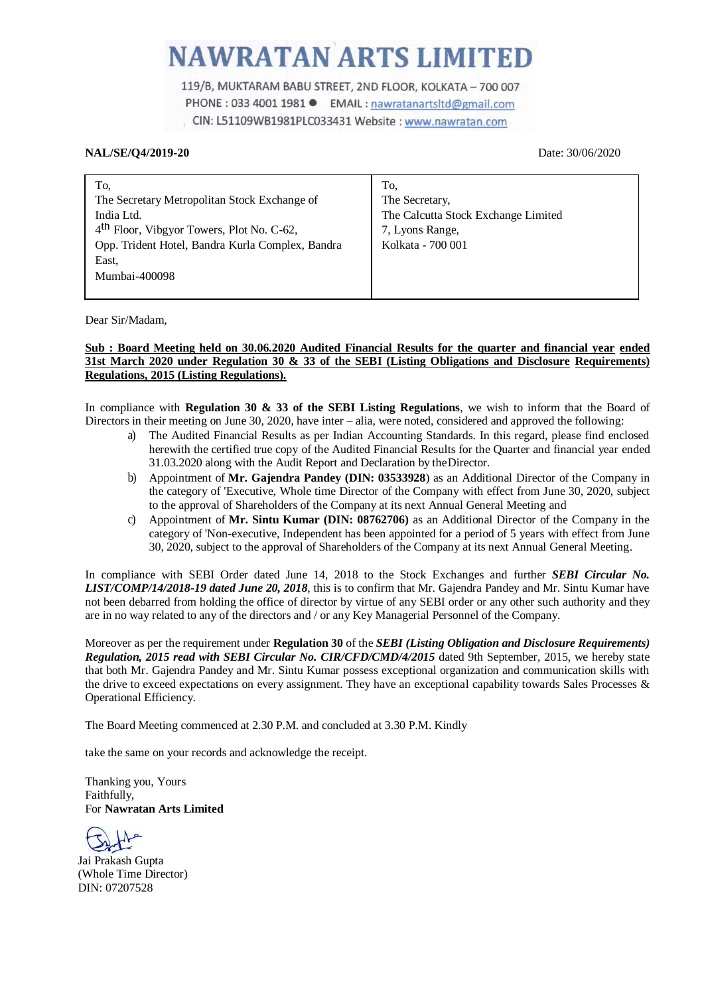119/B, MUKTARAM BABU STREET, 2ND FLOOR, KOLKATA - 700 007 PHONE : 033 4001 1981 ● EMAIL : nawratanartsltd@gmail.com CIN: L51109WB1981PLC033431 Website: www.nawratan.com

#### **NAL/SE/Q4/2019-20** Date: 30/06/2020

| To,                                                   | To.                                 |
|-------------------------------------------------------|-------------------------------------|
| The Secretary Metropolitan Stock Exchange of          | The Secretary,                      |
| India Ltd.                                            | The Calcutta Stock Exchange Limited |
| 4 <sup>th</sup> Floor, Vibgyor Towers, Plot No. C-62, | 7, Lyons Range,                     |
| Opp. Trident Hotel, Bandra Kurla Complex, Bandra      | Kolkata - 700 001                   |
| East.                                                 |                                     |
| Mumbai-400098                                         |                                     |
|                                                       |                                     |

Dear Sir/Madam,

#### **Sub : Board Meeting held on 30.06.2020 Audited Financial Results for the quarter and financial year ended 31st March 2020 under Regulation 30 & 33 of the SEBI (Listing Obligations and Disclosure Requirements) Regulations, 2015 (Listing Regulations).**

In compliance with **Regulation 30 & 33 of the SEBI Listing Regulations**, we wish to inform that the Board of Directors in their meeting on June 30, 2020, have inter – alia, were noted, considered and approved the following:

- a) The Audited Financial Results as per Indian Accounting Standards. In this regard, please find enclosed herewith the certified true copy of the Audited Financial Results for the Quarter and financial year ended 31.03.2020 along with the Audit Report and Declaration by theDirector.
- b) Appointment of **Mr. Gajendra Pandey (DIN: 03533928**) as an Additional Director of the Company in the category of 'Executive, Whole time Director of the Company with effect from June 30, 2020, subject to the approval of Shareholders of the Company at its next Annual General Meeting and
- c) Appointment of **Mr. Sintu Kumar (DIN: 08762706)** as an Additional Director of the Company in the category of 'Non-executive, Independent has been appointed for a period of 5 years with effect from June 30, 2020, subject to the approval of Shareholders of the Company at its next Annual General Meeting.

In compliance with SEBI Order dated June 14, 2018 to the Stock Exchanges and further *SEBI Circular No. LIST/COMP/14/2018-19 dated June 20, 2018*, this is to confirm that Mr. Gajendra Pandey and Mr. Sintu Kumar have not been debarred from holding the office of director by virtue of any SEBI order or any other such authority and they are in no way related to any of the directors and / or any Key Managerial Personnel of the Company.

Moreover as per the requirement under **Regulation 30** of the *SEBI (Listing Obligation and Disclosure Requirements) Regulation, 2015 read with SEBI Circular No. CIR/CFD/CMD/4/2015* dated 9th September, 2015, we hereby state that both Mr. Gajendra Pandey and Mr. Sintu Kumar possess exceptional organization and communication skills with the drive to exceed expectations on every assignment. They have an exceptional capability towards Sales Processes & Operational Efficiency.

The Board Meeting commenced at 2.30 P.M. and concluded at 3.30 P.M. Kindly

take the same on your records and acknowledge the receipt.

Thanking you, Yours Faithfully, For **Nawratan Arts Limited**

Jai Prakash Gupta (Whole Time Director) DIN: 07207528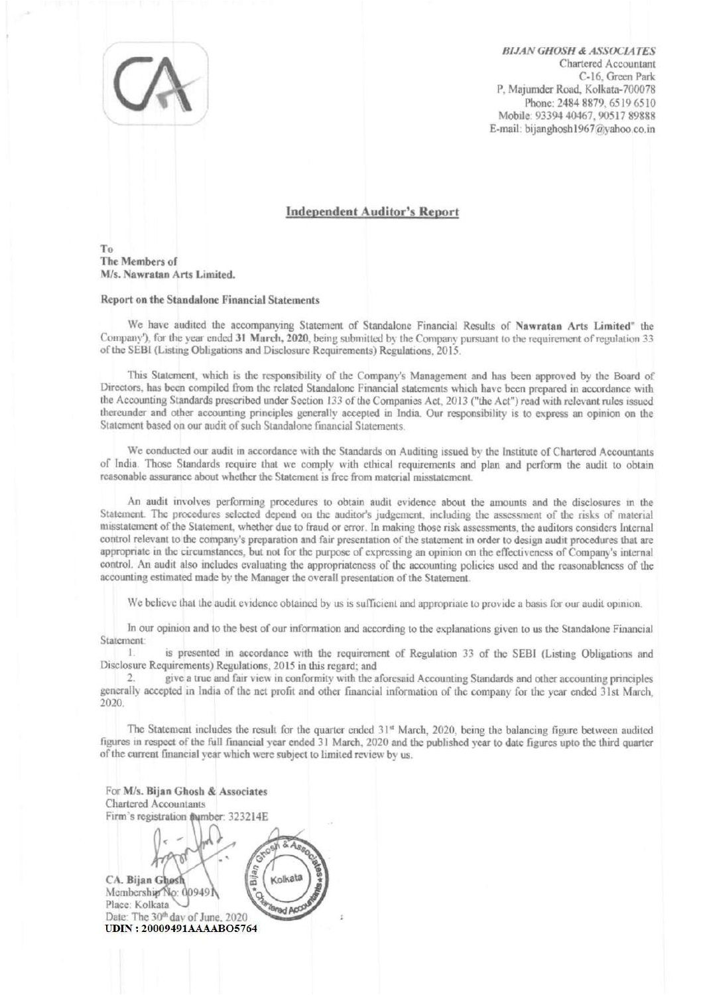**BIJAN GHOSH & ASSOCIATES** Chartered Accountant C-16. Green Park P. Majumder Road, Kolkata-700078 Phone: 2484 8879, 6519 6510 Mobile: 93394 40467, 90517 89888 E-mail: bijanghosh1967@vahoo.co.in

#### **Independent Auditor's Report**

To The Members of M/s. Nawratan Arts Limited.

#### **Report on the Standalone Financial Statements**

We have audited the accompanying Statement of Standalone Financial Results of Nawratan Arts Limited" the Company'), for the year ended 31 March, 2020, being submitted by the Company pursuant to the requirement of regulation 33 of the SEBI (Listing Obligations and Disclosure Requirements) Regulations, 2015.

This Statement, which is the responsibility of the Company's Management and has been approved by the Board of Directors, has been compiled from the related Standalone Financial statements which have been prepared in accordance with the Accounting Standards prescribed under Section 133 of the Companies Act, 2013 ("the Act") read with relevant rules issued thereunder and other accounting principles generally accepted in India. Our responsibility is to express an opinion on the Statement based on our audit of such Standalone financial Statements.

We conducted our audit in accordance with the Standards on Auditing issued by the Institute of Chartered Accountants of India. Those Standards require that we comply with ethical requirements and plan and perform the audit to obtain reasonable assurance about whether the Statement is free from material misstatement.

An audit involves performing procedures to obtain audit evidence about the amounts and the disclosures in the Statement. The procedures selected depend on the auditor's judgement, including the assessment of the risks of material misstatement of the Statement, whether due to fraud or error. In making those risk assessments, the auditors considers Internal control relevant to the company's preparation and fair presentation of the statement in order to design audit procedures that are appropriate in the circumstances, but not for the purpose of expressing an opinion on the effectiveness of Company's internal control. An audit also includes evaluating the appropriateness of the accounting policies used and the reasonableness of the accounting estimated made by the Manager the overall presentation of the Statement.

We believe that the audit evidence obtained by us is sufficient and appropriate to provide a basis for our audit opinion.

In our opinion and to the best of our information and according to the explanations given to us the Standalone Financial Statement:

 $\mathbf{1}$ is presented in accordance with the requirement of Regulation 33 of the SEBI (Listing Obligations and Disclosure Requirements) Regulations, 2015 in this regard; and

 $\overline{2}$ give a true and fair view in conformity with the aforesaid Accounting Standards and other accounting principles generally accepted in India of the net profit and other financial information of the company for the year ended 31st March, 2020.

The Statement includes the result for the quarter ended 31<sup>st</sup> March, 2020, being the balancing figure between audited figures in respect of the full financial year ended 31 March, 2020 and the published year to date figures upto the third quarter of the current financial year which were subject to limited review by us.

| For M/s. Bijan Ghosh & Associates<br><b>Chartered Accountants</b>     |  |
|-----------------------------------------------------------------------|--|
| Firm's registration @umber: 323214E                                   |  |
| Kolkata<br>CA. Bijan Ghosh<br>Membership No: 009491<br>Place: Kolkata |  |
| Date: The 30th day of June, 2020                                      |  |
| <b>UDIN: 20009491AAAABO5764</b>                                       |  |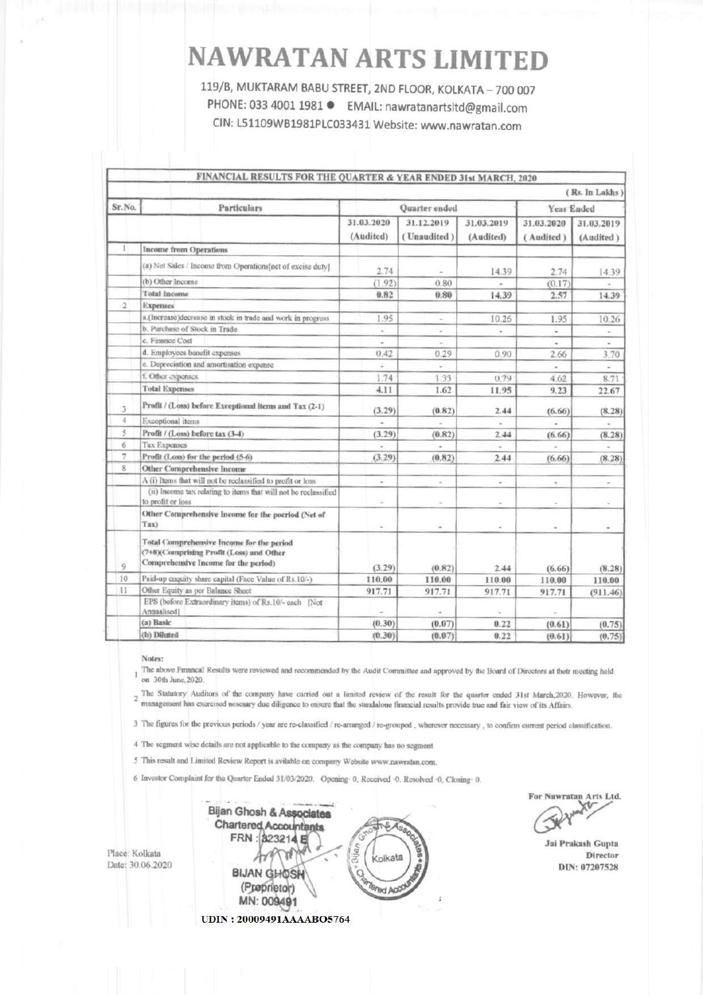119/B, MUKTARAM BABU STREET, 2ND FLOOR, KOLKATA - 700 007 PHONE: 033 4001 1981 ● EMAIL: nawratanartsltd@gmail.com CIN: L51109WB1981PLC033431 Website: www.nawratan.com

|                |                                                                                                                               |                         |                           |                         |                          | (Rs. In Lakhs)           |
|----------------|-------------------------------------------------------------------------------------------------------------------------------|-------------------------|---------------------------|-------------------------|--------------------------|--------------------------|
| Sr.No.         | Particulars                                                                                                                   | Quarter ended           |                           |                         | Year Ended               |                          |
|                |                                                                                                                               | 31.03.2020<br>(Audited) | 31.12.2019<br>(Unaudited) | 31.03.2019<br>(Audited) | 31.03.2020<br>(Audited)  | 31.03.2019<br>(Audited)  |
|                | <b>Income from Operations</b>                                                                                                 |                         |                           |                         |                          |                          |
|                | (a) Net Sales / Income from Operations[net of excise duty]                                                                    | 2.74                    |                           | 14.39                   | 2.74                     | 14.39                    |
|                | (b) Other Income                                                                                                              | (1.92)                  | 0.80                      | u,                      | (0.17)                   |                          |
|                | <b>Total Income</b>                                                                                                           | 0.82                    | 0.80                      | 14.39                   | 2.57                     | 14.39                    |
| $\overline{2}$ | <b>Expenses</b>                                                                                                               |                         |                           |                         |                          |                          |
|                | a.(Increase)decrease in stock in trade and work in progress                                                                   | 1.95                    | $\sim$                    | 10.26                   | 1.95                     | 10.26                    |
|                | b. Purchase of Stock in Trade                                                                                                 | ٠                       | $\frac{1}{2}$             | $\sim$                  | ä,                       |                          |
|                | c. Finance Cost                                                                                                               | $\overline{a}$          |                           |                         |                          | $\overline{\phantom{a}}$ |
|                | d. Employees benefit expenses                                                                                                 | 0.42                    | 0.29                      | 0.90                    | 2.66                     | 3.70                     |
|                | c. Depreciation and amortisation expense                                                                                      |                         |                           |                         |                          |                          |
|                | f. Other expenses                                                                                                             | 1.74                    | 1.33                      | 0.79                    | 4.62                     | 8.71                     |
|                | <b>Total Expenses</b>                                                                                                         | 4.11                    | 1.62                      | 11.95                   | 9.23                     | 22.67                    |
| 3              | Profit / (Loss) before Exceptional items and Tax (2-1)                                                                        | (3.29)                  | (0.82)                    | 2.44                    | (6.66)                   | (8.28)                   |
| 4              | Exceptional items                                                                                                             |                         |                           |                         |                          |                          |
| 5              | Profit / (Loss) before tax (3-4)                                                                                              | (3.29)                  | (0.82)                    | 2.44                    | (6.66)                   | (8.28)                   |
| 6              | Tax Expenses                                                                                                                  | $\sim$                  |                           | ×.                      |                          |                          |
| 7              | Profit (Loss) for the period (5-6)                                                                                            | (3.29)                  | (0.82)                    | 2.44                    | (6.66)                   | (8.28)                   |
| 8              | Other Comprehensive Income                                                                                                    |                         |                           |                         |                          |                          |
|                | A (i) Items that will not be reclassified to profit or loss                                                                   | ÷                       | $\sim$                    | $\sim$                  | $\sim$                   | $\omega_{\rm i}$         |
|                | (ii) Income tax relating to items that will not be reclassified<br>to profit or loss                                          | $\omega$                | $\sim$                    | i.                      | ×                        | ÷                        |
|                | Other Comprehensive Income for the poeriod (Net of<br>Tax)                                                                    | $\tilde{\phantom{a}}$   | $\overline{\phantom{a}}$  | ÷                       | $\overline{\phantom{a}}$ | $\;$                     |
| $\overline{9}$ | Total Comprehensive Income for the period<br>(7+8)(Comprising Profit (Loss) and Other<br>Comprehensive Income for the period) | (3.29)                  | (0.82)                    | 2.44                    | (6.66)                   | (8.28)                   |
| 10             | Paid-up enquity share capital (Face Value of Rs.10/-)                                                                         | 110.00                  | 110.00                    | 110.00                  | 110.00                   | 110.00                   |
| 11             | Other Equity as per Balance Sheet                                                                                             | 917.71                  | 917.71                    | 917.71                  | 917.71                   | (911.46)                 |
|                | EPS (before Extraordinary items) of Rs.10/- each [Not<br>Annualised]                                                          | ÷                       |                           |                         |                          |                          |
|                | (a) Basic                                                                                                                     | (0.30)                  | (0.07)                    | 0.22                    | (0.61)                   | (0.75)                   |
|                | (b) Diluted                                                                                                                   | (0.30)                  | (0.07)                    | 0.22                    | (0.61)                   | (0.75)                   |

Notes:

1 The above Financal Results were reviewed and recommended by the Audit Committee and approved by the Board of Directors at their meeting held on 30th June, 2020.

2 The Statutory Auditors of the company have carried out a limited review of the result for the quarter ended 31st March, 2020. However, the management has exercised nesesary due diligence to ensure that the standalone fin

3 The figures for the provious periods / year are re-classified / re-arranged / re-grouped, wherever necessary, to confirm current period classification.

4 The segment wise details are not applicable to the company as the company has no segment

5 This result and Limited Review Report is avilable on company Website www.nawratan.com.

6 Investor Complaint for the Quarter Ended 31/03/2020. Opening 0, Received 0. Resolved 0, Closing 0.

Bijan Ghosh & Associates **Chartered Accountants** S.A. FRN: 323214 Kolkata **BIJAN GHOSH** (Preprietor) **Bd App** MN: 009491 **UDIN: 20009491AAAABO5764** 

For Nawratan Arts Ltd. rt

Jai Prakash Gupta Director DIN: 07207528

Place: Kolkata Date: 30.06.2020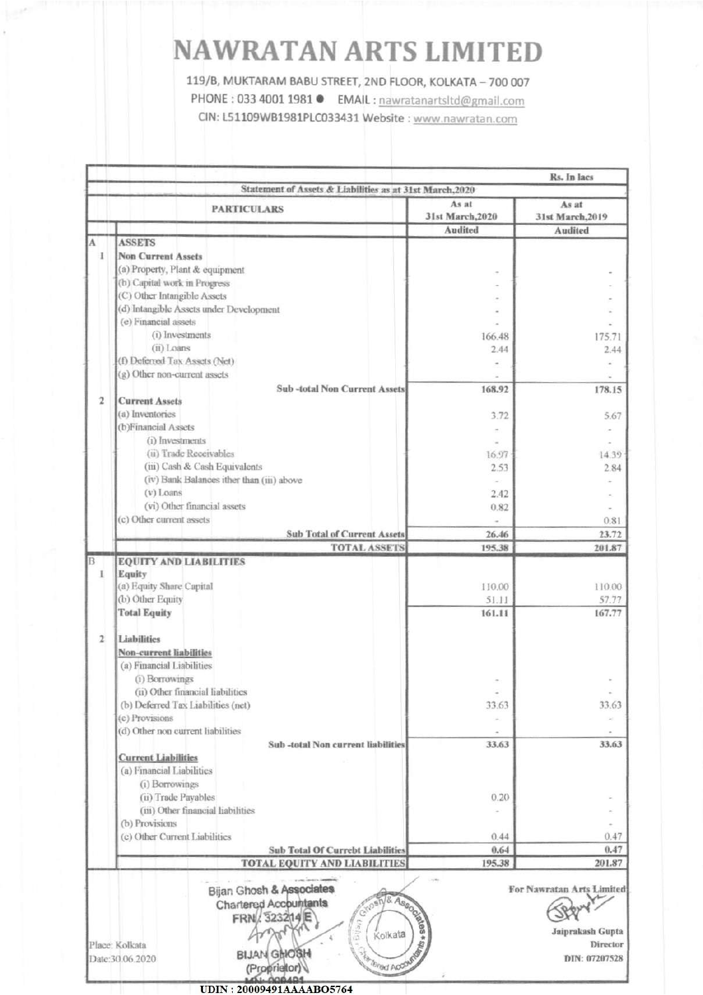119/B, MUKTARAM BABU STREET, 2ND FLOOR, KOLKATA - 700 007 PHONE: 033 4001 1981 ● EMAIL: nawratanartsltd@gmail.com

CIN: L51109WB1981PLC033431 Website : www.nawratan.com

|                | Statement of Assets & Liabilities as at 31st March, 2020        |                           |                                                                                     |
|----------------|-----------------------------------------------------------------|---------------------------|-------------------------------------------------------------------------------------|
|                | <b>PARTICULARS</b>                                              | As at<br>31st March, 2020 | As at<br>31st March, 2019                                                           |
|                |                                                                 | Audited                   | <b>Audited</b>                                                                      |
|                | <b>ASSETS</b>                                                   |                           |                                                                                     |
| 1              | <b>Non Current Assets</b>                                       |                           |                                                                                     |
|                | (a) Property, Plant & equipment                                 |                           |                                                                                     |
|                | (b) Capital work in Progress                                    |                           |                                                                                     |
|                | (C) Other Intangible Assets                                     |                           |                                                                                     |
|                | (d) Intangible Assets under Development                         |                           |                                                                                     |
|                | (e) Financial assets                                            |                           |                                                                                     |
|                | (i) Investments                                                 | 166.48                    |                                                                                     |
|                | $(ii)$ Loans                                                    |                           | 175.71                                                                              |
|                | (f) Deferred Tax Assets (Net)                                   | 2.44                      | 2.44                                                                                |
|                |                                                                 |                           |                                                                                     |
|                | (g) Other non-current assets                                    |                           |                                                                                     |
|                | <b>Sub-total Non Current Assets</b>                             | 168.92                    | 178.15                                                                              |
| $\overline{2}$ | <b>Current Assets</b>                                           |                           |                                                                                     |
|                | (a) Inventories                                                 | 3.72                      | 5.67                                                                                |
|                | (b)Financial Assets                                             |                           |                                                                                     |
|                | (i) Investments                                                 |                           |                                                                                     |
|                | (ii) Trade Receivables                                          | 16.97                     | 14.39                                                                               |
|                | (iii) Cash & Cash Equivalents                                   | 2.53                      | 2.84                                                                                |
|                | (iv) Bank Balances ither than (iii) above                       |                           |                                                                                     |
|                | $(v)$ Loans                                                     | 2.42                      |                                                                                     |
|                | (vi) Other financial assets                                     | 0.82                      |                                                                                     |
|                | (c) Other current assets                                        |                           | 0.81                                                                                |
|                |                                                                 |                           |                                                                                     |
|                | <b>Sub Total of Current Assets</b>                              | 26.46                     | 23.72                                                                               |
|                | <b>TOTAL ASSETS</b>                                             | 195.38                    | 201.87                                                                              |
|                | <b>EQUITY AND LIABILITIES</b>                                   |                           |                                                                                     |
| I              | Equity                                                          |                           |                                                                                     |
|                | (a) Equity Share Capital                                        | 110.00                    | 110.00                                                                              |
|                | (b) Other Equity                                                | 51.11                     | 57.77                                                                               |
|                | <b>Total Equity</b>                                             | 161.11                    | 167.77                                                                              |
|                |                                                                 |                           |                                                                                     |
| $\mathfrak{p}$ | <b>Liabilities</b>                                              |                           |                                                                                     |
|                | <b>Non-current liabilities</b>                                  |                           |                                                                                     |
|                | (a) Financial Liabilities                                       |                           |                                                                                     |
|                | (i) Borrowings                                                  |                           |                                                                                     |
|                | (ii) Other financial liabilities                                |                           |                                                                                     |
|                | (b) Deferred Tax Liabilities (net)                              | 33.63                     | 33.63                                                                               |
|                | (c) Provisions                                                  |                           |                                                                                     |
|                | (d) Other non current liabilities                               |                           |                                                                                     |
|                |                                                                 |                           |                                                                                     |
|                | Sub-total Non current liabilities                               | 33.63                     | 33.63                                                                               |
|                | <b>Current Liabilities</b>                                      |                           |                                                                                     |
|                | (a) Financial Liabilities                                       |                           |                                                                                     |
|                |                                                                 |                           |                                                                                     |
|                | (i) Borrowings                                                  |                           |                                                                                     |
|                | (ii) Trade Payables                                             | 0.20                      |                                                                                     |
|                | (iii) Other financial liabilities                               |                           |                                                                                     |
|                | (b) Provisions                                                  |                           |                                                                                     |
|                |                                                                 | 0.44                      |                                                                                     |
|                | (c) Other Current Liabilities                                   | 0.64                      |                                                                                     |
|                | <b>Sub Total Of Currebt Liabilities</b>                         |                           |                                                                                     |
|                | <b>TOTAL EQUITY AND LIABILITIES</b><br>Bijan Ghosh & Associates | 195.38                    |                                                                                     |
|                | Chartered Accountants                                           |                           |                                                                                     |
|                | FRN 323214                                                      |                           |                                                                                     |
|                |                                                                 | Kolkata                   |                                                                                     |
|                | <b>Pelici</b><br>Place: Kolkata                                 | Associated                | 0.47<br>0.47<br>201.87<br>For Nawratan Arts Limited<br>Jaiprakash Gupta<br>Director |
|                | <b>BIJAN GHOSH</b><br>Date:30.06.2020<br>(Proprietor)           | Torad AO                  | DIN: 07207528                                                                       |